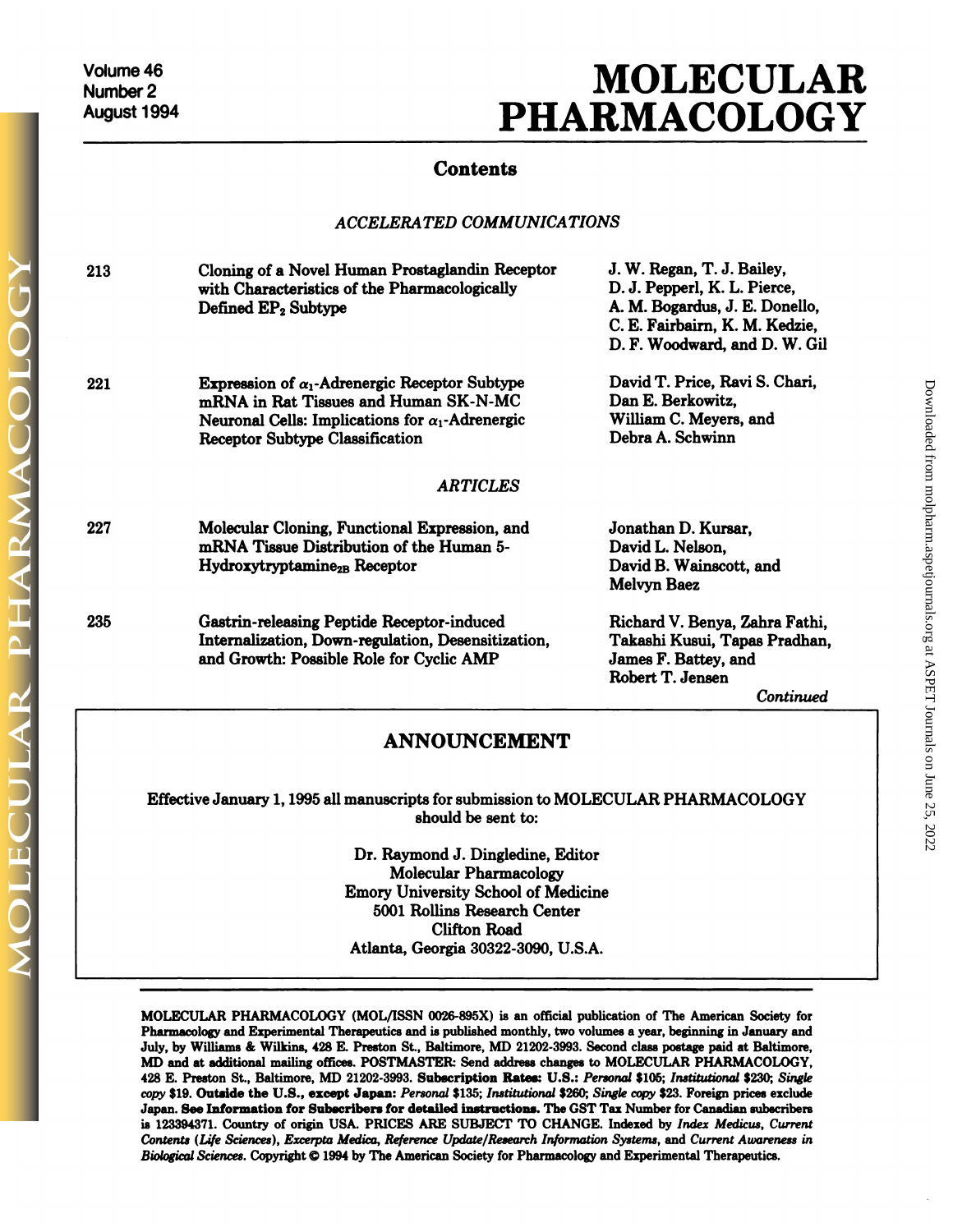## **MOLECULAR<br>RMACOLOGY PHARMACOLOGY**

## **Contents**

## *ACCELERATED COMMUNICATIONS*

|     | <b>ACCELERATED COMMUNICATIONS</b>                                                                                                                                                                                    |                                                                                                                                                                 |
|-----|----------------------------------------------------------------------------------------------------------------------------------------------------------------------------------------------------------------------|-----------------------------------------------------------------------------------------------------------------------------------------------------------------|
| 213 | Cloning of a Novel Human Prostaglandin Receptor<br>with Characteristics of the Pharmacologically<br>Defined EP <sub>2</sub> Subtype                                                                                  | J. W. Regan, T. J. Bailey,<br>D. J. Pepperl, K. L. Pierce,<br>A. M. Bogardus, J. E. Donello,<br>C. E. Fairbairn, K. M. Kedzie,<br>D. F. Woodward, and D. W. Gil |
| 221 | <b>Expression of <math>\alpha_1</math>-Adrenergic Receptor Subtype</b><br>mRNA in Rat Tissues and Human SK-N-MC<br>Neuronal Cells: Implications for $\alpha_1$ -Adrenergic<br><b>Receptor Subtype Classification</b> | David T. Price, Ravi S. Chari,<br>Dan E. Berkowitz,<br>William C. Meyers, and<br>Debra A. Schwinn                                                               |
|     | <b>ARTICLES</b>                                                                                                                                                                                                      |                                                                                                                                                                 |
| 227 | Molecular Cloning, Functional Expression, and<br>mRNA Tissue Distribution of the Human 5-<br>Hydroxytryptamine <sub>2B</sub> Receptor                                                                                | Jonathan D. Kursar,<br>David L. Nelson,<br>David B. Wainscott, and<br><b>Melvyn Baez</b>                                                                        |
| 235 | Gastrin-releasing Peptide Receptor-induced<br>Internalization, Down-regulation, Desensitization,<br>and Growth: Possible Role for Cyclic AMP                                                                         | Richard V. Benya, Zahra Fathi,<br>Takashi Kusui, Tapas Pradhan,<br>James F. Battey, and<br>Robert T. Jensen<br>Continued                                        |
|     | <b>ANNOUNCEMENT</b>                                                                                                                                                                                                  |                                                                                                                                                                 |
|     | Effective January 1, 1995 all manuscripts for submission to MOLECULAR PHARMACOLOGY<br>should be sent to:                                                                                                             |                                                                                                                                                                 |
|     | Dr. Raymond J. Dingledine, Editor<br>Molecular Pharmacology                                                                                                                                                          |                                                                                                                                                                 |

cripts for submission to MC<br>should be sent to:<br>laymond J. Dingledine, Edi<br>Molecular Pharmacology<br>University School of Medi should be sent to:<br>
Dr. Raymond J. Dingledine, Editor<br>
Molecular Pharmacology<br>
Emory University School of Medicine<br>
5001 Rollins Research Center Raymond J. Dingledine, Editor<br>Molecular Pharmacology<br>Soly University School of Medicine<br>5001 Rollins Research Center<br>Clifton Road nd J. Dingledine, l<br>ular Pharmacology<br>ersity School of M<br>llins Research Cen<br>Clifton Road<br>orgia 30322-3090, Emory University School of Medicine<br>5001 Rollins Research Center<br>Clifton Road<br>Atlanta, Georgia 30322-3090, U.S.A.

Atlanta, Georgia 30322-3090, U.S.A.<br>MOLECULAR PHARMACOLOGY (MOL/ISSN 0026-895X) is an official publication of The American Society for<br>Pharmacology and Experimental Therapeutics and is published monthly, two volumes a year MOLECULAR PHARMACOLOGY (MOL/ISSN 0026-895X) is an official publication of The American Society for<br>Pharmacology and Experimental Therapeutics and is published monthly, two volumes a year, beginning in January and<br>July, by MOLECULAR PHARMACOLOGY (MOL/ISSN 0026-895X) is an official publication of The American Society for Pharmacology and Experimental Therapeutics and is published monthly, two volumes a year, beginning in January and July, by MOLECULAR PHARMACOLOGY (MOL/ISSN 0026-895X) is an official publication of The American Society<br>Pharmacology and Experimental Therapeutics and is published monthly, two volumes a year, beginning in January<br>July, by Williams MOLECULAR PHARMACOLOGY (MOL/ISSN 0026-895X) is an official publication of The American Society for Pharmacology and Experimental Therapeutics and is published monthly, two volumes a year, beginning in January and July, by *Pharmacology* and Experimental Therapeutics and is published monthly, two volumes a year, beginning in January and July, by Williams & Wilkins, 428 E. Preston St., Baltimore, MD 21202-3993. Second class postage paid at Ba July, by Williams & Wilkins, 428 E. Preston St., Baltimore, MD 21202-3993. Second class postage paid at Baltimore, MD and at additional mailing offices. POSTMASTER: Send address changes to MOLECULAR PHARMACOLOGY, 428 E. Pr 428 E. Preston St., Baltimore, MD 21202-3993. Subscription Rates: U.S.: *Personal* \$105; *Institutional* \$230; *Single* copy \$19. Outside the U.S., except Japan: *Personal* \$135; *Institutional* \$260; *Single* copy \$23. Fo *Copy* \$19. Outside the U.S., except Japan: Personal \$135; Institutional \$260; Single copy \$23. Foreign prices exclude *Contents (Life Sciences), Excerpta Medica, Reference Update/Research Information Systems, and Current Awareness in*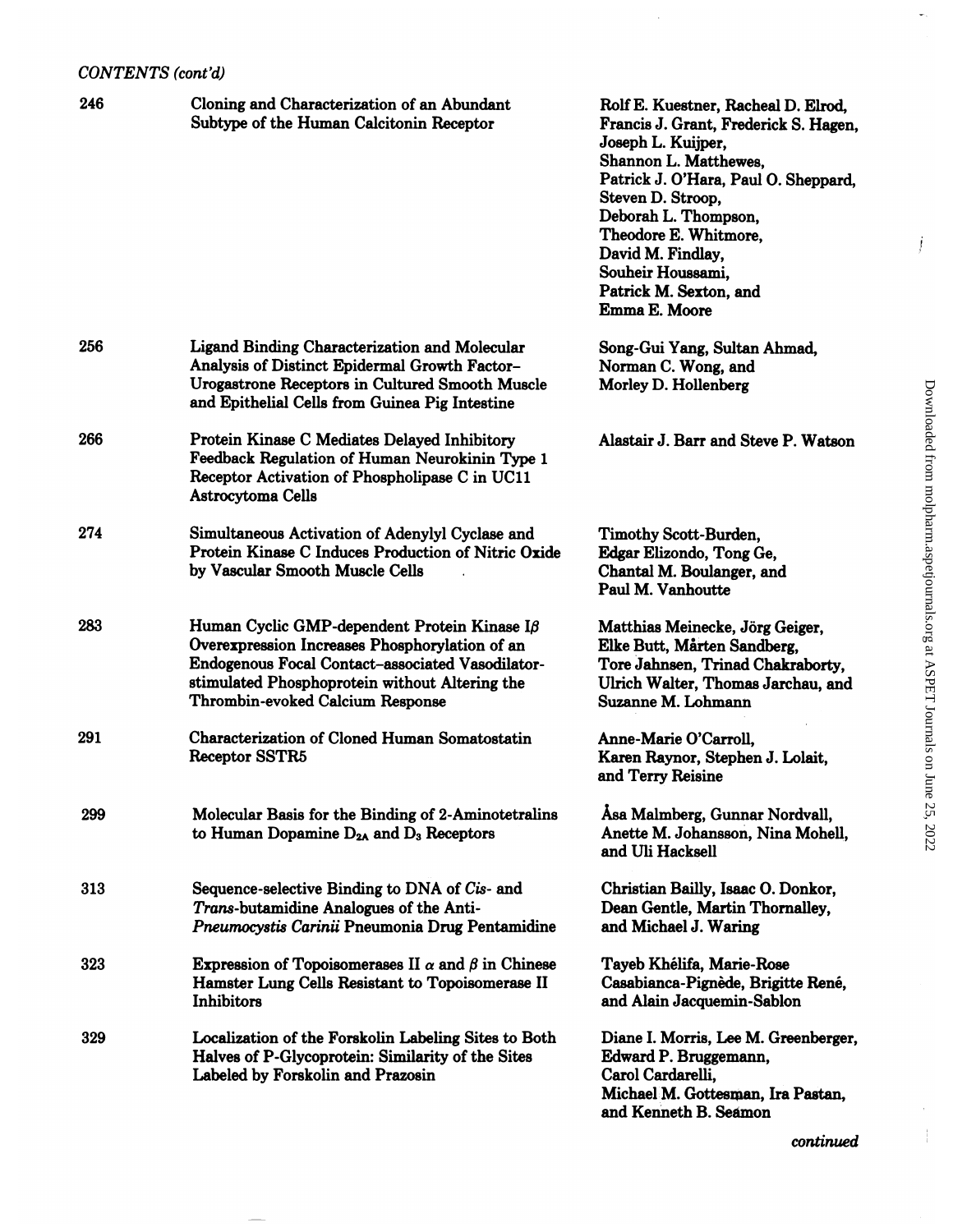| CONTENTS (cont'd) |                                                                                                                                                                                                                                                 |                                                                                                                                                                                                                                                                                                                                |
|-------------------|-------------------------------------------------------------------------------------------------------------------------------------------------------------------------------------------------------------------------------------------------|--------------------------------------------------------------------------------------------------------------------------------------------------------------------------------------------------------------------------------------------------------------------------------------------------------------------------------|
| 246               | Cloning and Characterization of an Abundant<br>Subtype of the Human Calcitonin Receptor                                                                                                                                                         | Rolf E. Kuestner, Racheal D. Elrod,<br>Francis J. Grant, Frederick S. Hagen,<br>Joseph L. Kuijper,<br>Shannon L. Matthewes,<br>Patrick J. O'Hara, Paul O. Sheppard,<br>Steven D. Stroop,<br>Deborah L. Thompson,<br>Theodore E. Whitmore,<br>David M. Findlay,<br>Souheir Houssami,<br>Patrick M. Sexton, and<br>Emma E. Moore |
| 256               | Ligand Binding Characterization and Molecular<br>Analysis of Distinct Epidermal Growth Factor-<br><b>Urogastrone Receptors in Cultured Smooth Muscle</b><br>and Epithelial Cells from Guinea Pig Intestine                                      | Song-Gui Yang, Sultan Ahmad,<br>Norman C. Wong, and<br>Morley D. Hollenberg                                                                                                                                                                                                                                                    |
| 266               | Protein Kinase C Mediates Delayed Inhibitory<br>Feedback Regulation of Human Neurokinin Type 1<br>Receptor Activation of Phospholipase C in UC11<br>Astrocytoma Cells                                                                           | Alastair J. Barr and Steve P. Watson                                                                                                                                                                                                                                                                                           |
| 274               | Simultaneous Activation of Adenylyl Cyclase and<br>Protein Kinase C Induces Production of Nitric Oxide<br>by Vascular Smooth Muscle Cells                                                                                                       | Timothy Scott-Burden,<br>Edgar Elizondo, Tong Ge,<br>Chantal M. Boulanger, and<br>Paul M. Vanhoutte                                                                                                                                                                                                                            |
| 283               | Human Cyclic GMP-dependent Protein Kinase I $\beta$<br>Overexpression Increases Phosphorylation of an<br>Endogenous Focal Contact-associated Vasodilator-<br>stimulated Phosphoprotein without Altering the<br>Thrombin-evoked Calcium Response | Matthias Meinecke, Jörg Geiger,<br>Elke Butt, Mårten Sandberg,<br>Tore Jahnsen, Trinad Chakraborty,<br>Ulrich Walter, Thomas Jarchau, and<br>Suzanne M. Lohmann                                                                                                                                                                |
| 291               | Characterization of Cloned Human Somatostatin<br>Receptor SSTR5                                                                                                                                                                                 | Anne-Marie O'Carroll,<br>Karen Raynor, Stephen J. Lolait,<br>and Terry Reisine                                                                                                                                                                                                                                                 |
| 299               | Molecular Basis for the Binding of 2-Aminotetralins<br>to Human Dopamine $D_{2A}$ and $D_3$ Receptors                                                                                                                                           | Asa Malmberg, Gunnar Nordvall,<br>Anette M. Johansson, Nina Mohell,<br>and Uli Hacksell                                                                                                                                                                                                                                        |
| 313               | Sequence-selective Binding to DNA of Cis- and<br>Trans-butamidine Analogues of the Anti-<br>Pneumocystis Carinii Pneumonia Drug Pentamidine                                                                                                     | Christian Bailly, Isaac O. Donkor,<br>Dean Gentle, Martin Thornalley,<br>and Michael J. Waring                                                                                                                                                                                                                                 |
| 323               | <b>Expression of Topoisomerases II</b> $\alpha$ and $\beta$ in Chinese<br>Hamster Lung Cells Resistant to Topoisomerase II<br>Inhibitors                                                                                                        | Tayeb Khélifa, Marie-Rose<br>Casabianca-Pignède, Brigitte René,<br>and Alain Jacquemin-Sablon                                                                                                                                                                                                                                  |
| 329               | Localization of the Forskolin Labeling Sites to Both<br>Halves of P-Glycoprotein: Similarity of the Sites<br>Labeled by Forskolin and Prazosin                                                                                                  | Diane I. Morris, Lee M. Greenberger,<br>Edward P. Bruggemann,<br>Carol Cardarelli,<br>Michael M. Gottesman, Ira Pastan,<br>and Kenneth B. Seamon                                                                                                                                                                               |

Downloaded from molpharm.aspetjournals.org at ASPET Journals on June 25, 2022 Downloaded from [molpharm.aspetjournals.org](http://molpharm.aspetjournals.org/) at ASPET Journals.on June 25, 2022

 $\omega_{\rm{c}}$ 

j

*continued*

 $\frac{1}{4}$